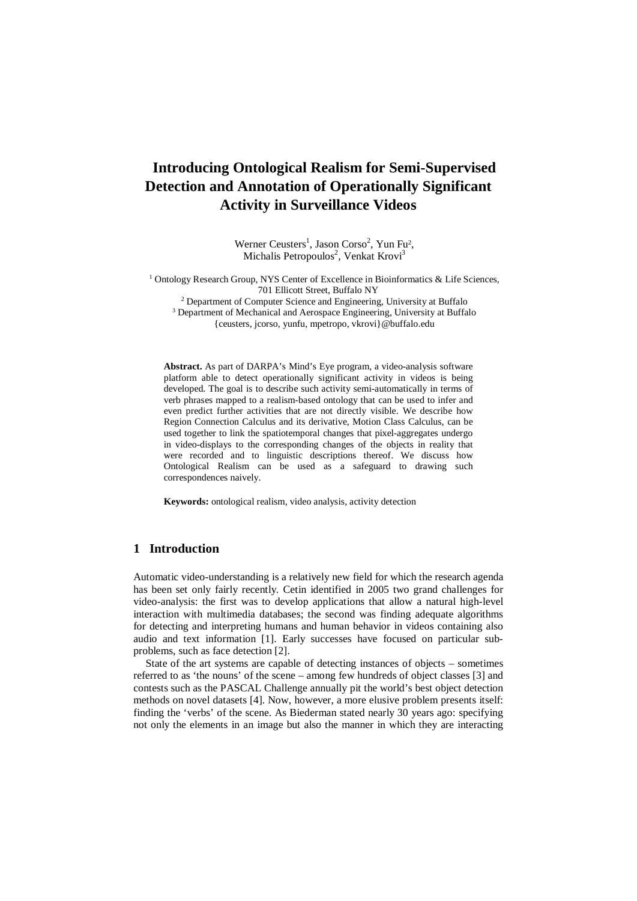# **Introducing Ontological Realism for Semi-Supervised Detection and Annotation of Operationally Significant Activity in Surveillance Videos**

Werner Ceusters<sup>1</sup>, Jason Corso<sup>2</sup>, Yun Fu<sup>2</sup>,<br>Michalis Petropoulos<sup>2</sup>, Vankat Kroui<sup>3</sup> Michalis Petropoulos<sup>2</sup>, Venkat Krovi<sup>3</sup>

<sup>1</sup> Ontology Research Group, NYS Center of Excellence in Bioinformatics & Life Sciences, 701 Ellicott Street, Buffalo NY

<sup>2</sup> Department of Computer Science and Engineering, University at Buffalo <sup>3</sup> Department of Mechanical and Aerospace Engineering, University at Buffalo

{ceusters, jcorso, yunfu, mpetropo, vkrovi} @buffalo.edu

**Abstract.** As part of DARPA's Mind's Eye program, a video-analysis software platform able to detect operationally significant activity in videos is being developed. The goal is to describe such activity semi-automatically in terms of verb phrases mapped to a realism-based ontology that can be used to infer and even predict further activities that are not directly visible. We describe how Region Connection Calculus and its derivative, Motion Class Calculus, can be used together to link the spatiotemporal changes that pixel-aggregates undergo in video-displays to the corresponding changes of the objects in reality that were recorded and to linguistic descriptions thereof. We discuss how Ontological Realism can be used as a safeguard to drawing such correspondences naively.

**Keywords:** ontological realism, video analysis, activity detection

#### **1 Introduction**

Automatic video-understanding is a relatively new field for which the research agenda has been set only fairly recently. Cetin identified in 2005 two grand challenges for video-analysis: the first was to develop applications that allow a natural high-level interaction with multimedia databases; the second was finding adequate algorithms for detecting and interpreting humans and human behavior in videos containing also audio and text information [1]. Early successes have focused on particular subproblems, such as face detection [2].

State of the art systems are capable of detecting instances of objects – sometimes referred to as 'the nouns' of the scene – among few hundreds of object classes [3] and contests such as the PASCAL Challenge annually pit the world's best object detection methods on novel datasets [4]. Now, however, a more elusive problem presents itself: finding the 'verbs' of the scene. As Biederman stated nearly 30 years ago: specifying not only the elements in an image but also the manner in which they are interacting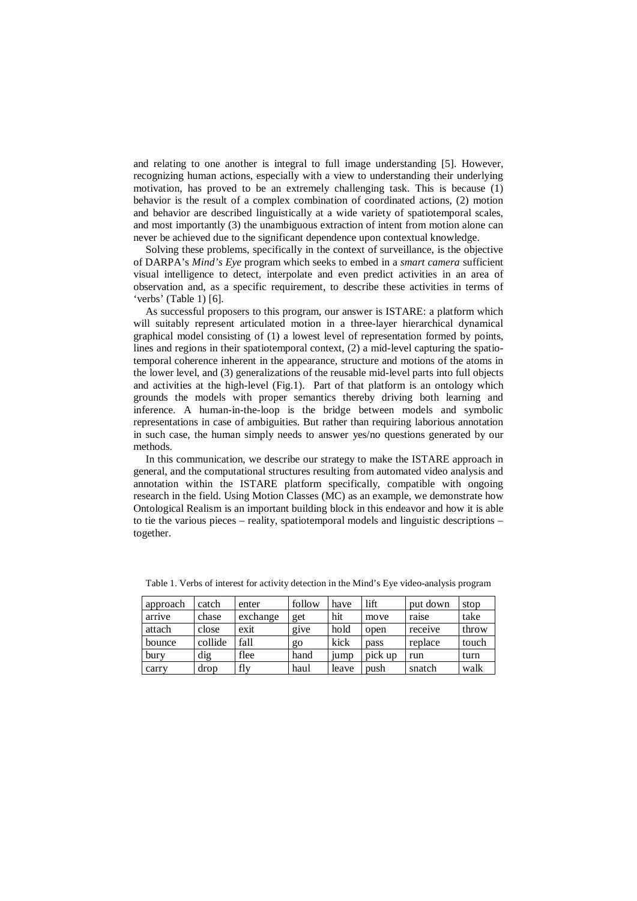and relating to one another is integral to full image understanding [5]. However, recognizing human actions, especially with a view to understanding their underlying motivation, has proved to be an extremely challenging task. This is because (1) behavior is the result of a complex combination of coordinated actions, (2) motion and behavior are described linguistically at a wide variety of spatiotemporal scales, and most importantly (3) the unambiguous extraction of intent from motion alone can never be achieved due to the significant dependence upon contextual knowledge.

Solving these problems, specifically in the context of surveillance, is the objective of DARPA's *Mind's Eye* program which seeks to embed in a *smart camera* sufficient visual intelligence to detect, interpolate and even predict activities in an area of observation and, as a specific requirement, to describe these activities in terms of 'verbs' (Table 1) [6].

As successful proposers to this program, our answer is ISTARE: a platform which will suitably represent articulated motion in a three-layer hierarchical dynamical graphical model consisting of (1) a lowest level of representation formed by points, lines and regions in their spatiotemporal context, (2) a mid-level capturing the spatiotemporal coherence inherent in the appearance, structure and motions of the atoms in the lower level, and (3) generalizations of the reusable mid-level parts into full objects and activities at the high-level (Fig.1). Part of that platform is an ontology which grounds the models with proper semantics thereby driving both learning and inference. A human-in-the-loop is the bridge between models and symbolic representations in case of ambiguities. But rather than requiring laborious annotation in such case, the human simply needs to answer yes/no questions generated by our methods.

In this communication, we describe our strategy to make the ISTARE approach in general, and the computational structures resulting from automated video analysis and annotation within the ISTARE platform specifically, compatible with ongoing research in the field. Using Motion Classes (MC) as an example, we demonstrate how Ontological Realism is an important building block in this endeavor and how it is able to tie the various pieces – reality, spatiotemporal models and linguistic descriptions – together.

| approach | catch   | enter    | follow | have  | lift    | put down | stop  |
|----------|---------|----------|--------|-------|---------|----------|-------|
| arrive   | chase   | exchange | get    | hit   | move    | raise    | take  |
| attach   | close   | exit     | give   | hold  | open    | receive  | throw |
| bounce   | collide | fall     | go     | kick  | pass    | replace  | touch |
| bury     | dig     | flee     | hand   | 1ump  | pick up | run      | turn  |
| carry    | drop    | fly      | haul   | leave | push    | snatch   | walk  |

Table 1. Verbs of interest for activity detection in the Mind's Eye video-analysis program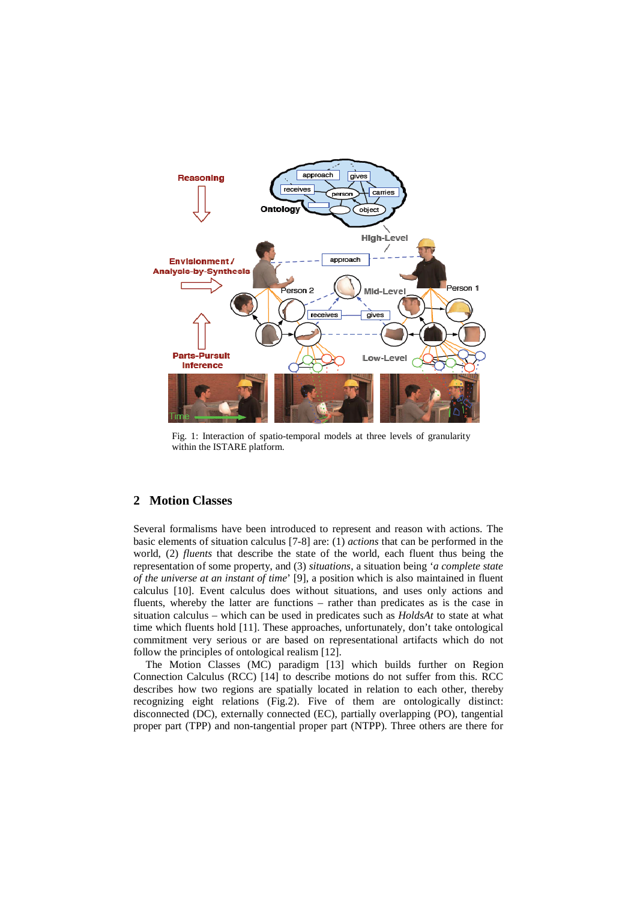

Fig. 1: Interaction of spatio-temporal models at three levels of granularity within the ISTARE platform.

## **2 Motion Classes**

Several formalisms have been introduced to represent and reason with actions. The basic elements of situation calculus [7-8] are: (1) *actions* that can be performed in the world, (2) *fluents* that describe the state of the world, each fluent thus being the representation of some property, and (3) *situations*, a situation being '*a complete state of the universe at an instant of time*' [9], a position which is also maintained in fluent calculus [10]. Event calculus does without situations, and uses only actions and fluents, whereby the latter are functions – rather than predicates as is the case in situation calculus – which can be used in predicates such as *HoldsAt* to state at what time which fluents hold [11]. These approaches, unfortunately, don't take ontological commitment very serious or are based on representational artifacts which do not follow the principles of ontological realism [12].

The Motion Classes (MC) paradigm [13] which builds further on Region Connection Calculus (RCC) [14] to describe motions do not suffer from this. RCC describes how two regions are spatially located in relation to each other, thereby recognizing eight relations (Fig.2). Five of them are ontologically distinct: disconnected (DC), externally connected (EC), partially overlapping (PO), tangential proper part (TPP) and non-tangential proper part (NTPP). Three others are there for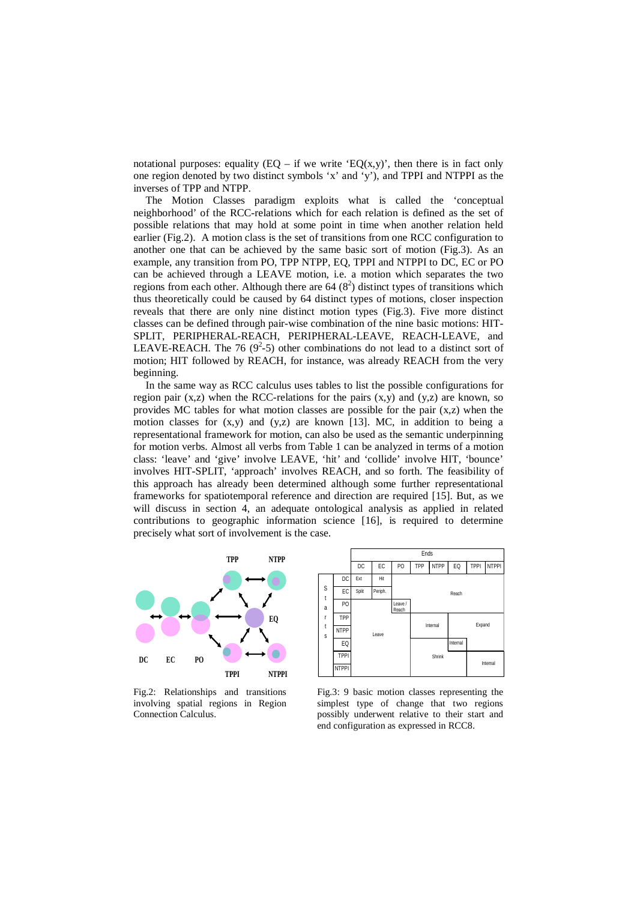notational purposes: equality  $(EQ - if we write 'EQ(x,y)$ , then there is in fact only one region denoted by two distinct symbols 'x' and 'y'), and TPPI and NTPPI as the inverses of TPP and NTPP.

The Motion Classes paradigm exploits what is called the 'conceptual neighborhood' of the RCC-relations which for each relation is defined as the set of possible relations that may hold at some point in time when another relation held earlier (Fig.2). A motion class is the set of transitions from one RCC configuration to another one that can be achieved by the same basic sort of motion (Fig.3). As an example, any transition from PO, TPP NTPP, EQ, TPPI and NTPPI to DC, EC or PO can be achieved through a LEAVE motion, i.e. a motion which separates the two regions from each other. Although there are  $64 (8<sup>2</sup>)$  distinct types of transitions which thus theoretically could be caused by 64 distinct types of motions, closer inspection reveals that there are only nine distinct motion types (Fig.3). Five more distinct classes can be defined through pair-wise combination of the nine basic motions: HIT-SPLIT, PERIPHERAL-REACH, PERIPHERAL-LEAVE, REACH-LEAVE, and LEAVE-REACH. The 76 ( $9^2$ -5) other combinations do not lead to a distinct sort of motion; HIT followed by REACH, for instance, was already REACH from the very beginning.

In the same way as RCC calculus uses tables to list the possible configurations for region pair  $(x, z)$  when the RCC-relations for the pairs  $(x, y)$  and  $(y, z)$  are known, so provides MC tables for what motion classes are possible for the pair (x,z) when the motion classes for  $(x,y)$  and  $(y,z)$  are known [13]. MC, in addition to being a representational framework for motion, can also be used as the semantic underpinning for motion verbs. Almost all verbs from Table 1 can be analyzed in terms of a motion class: 'leave' and 'give' involve LEAVE, 'hit' and 'collide' involve HIT, 'bounce' involves HIT-SPLIT, 'approach' involves REACH, and so forth. The feasibility of this approach has already been determined although some further representational frameworks for spatiotemporal reference and direction are required [15]. But, as we will discuss in section 4, an adequate ontological analysis as applied in related contributions to geographic information science [16], is required to determine precisely what sort of involvement is the case.





Fig.2: Relationships and transitions involving spatial regions in Region Connection Calculus.

Fig.3: 9 basic motion classes representing the simplest type of change that two regions possibly underwent relative to their start and end configuration as expressed in RCC8.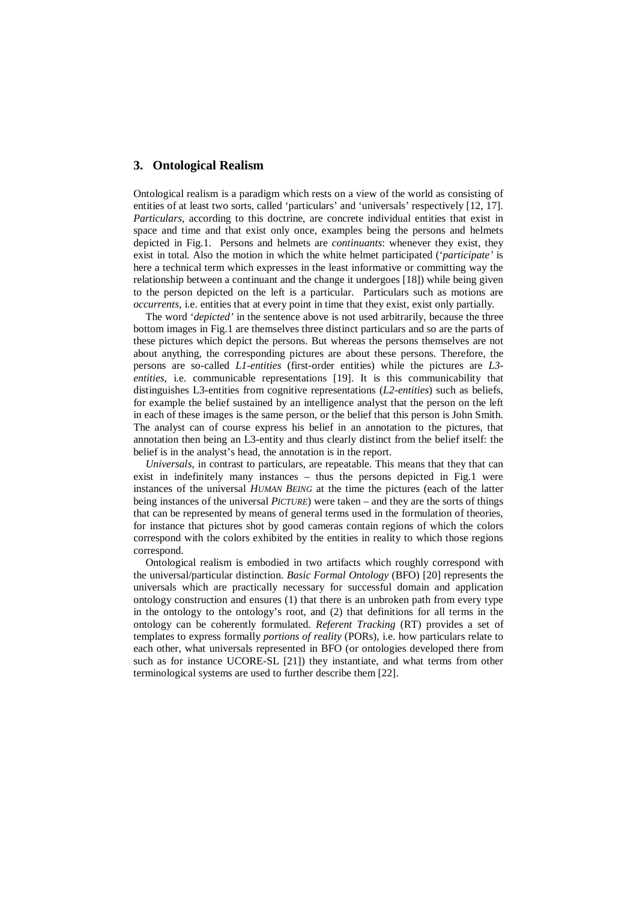#### **3. Ontological Realism**

Ontological realism is a paradigm which rests on a view of the world as consisting of entities of at least two sorts, called 'particulars' and 'universals' respectively [12, 17]. *Particulars*, according to this doctrine, are concrete individual entities that exist in space and time and that exist only once, examples being the persons and helmets depicted in Fig.1. Persons and helmets are *continuants*: whenever they exist, they exist in total. Also the motion in which the white helmet participated ('*participate'* is here a technical term which expresses in the least informative or committing way the relationship between a continuant and the change it undergoes [18]) while being given to the person depicted on the left is a particular. Particulars such as motions are *occurrents*, i.e. entities that at every point in time that they exist, exist only partially.

The word '*depicted'* in the sentence above is not used arbitrarily, because the three bottom images in Fig.1 are themselves three distinct particulars and so are the parts of these pictures which depict the persons. But whereas the persons themselves are not about anything, the corresponding pictures are about these persons. Therefore, the persons are so-called *L1-entities* (first-order entities) while the pictures are *L3 entities*, i.e. communicable representations [19]. It is this communicability that distinguishes L3-entities from cognitive representations (*L2-entities*) such as beliefs, for example the belief sustained by an intelligence analyst that the person on the left in each of these images is the same person, or the belief that this person is John Smith. The analyst can of course express his belief in an annotation to the pictures, that annotation then being an L3-entity and thus clearly distinct from the belief itself: the belief is in the analyst's head, the annotation is in the report.

*Universals*, in contrast to particulars, are repeatable. This means that they that can exist in indefinitely many instances – thus the persons depicted in Fig.1 were instances of the universal *HUMAN BEING* at the time the pictures (each of the latter being instances of the universal *PICTURE*) were taken – and they are the sorts of things that can be represented by means of general terms used in the formulation of theories, for instance that pictures shot by good cameras contain regions of which the colors correspond with the colors exhibited by the entities in reality to which those regions correspond.

Ontological realism is embodied in two artifacts which roughly correspond with the universal/particular distinction. *Basic Formal Ontology* (BFO) [20] represents the universals which are practically necessary for successful domain and application ontology construction and ensures (1) that there is an unbroken path from every type in the ontology to the ontology's root, and (2) that definitions for all terms in the ontology can be coherently formulated. *Referent Tracking* (RT) provides a set of templates to express formally *portions of reality* (PORs), i.e. how particulars relate to each other, what universals represented in BFO (or ontologies developed there from such as for instance UCORE-SL [21]) they instantiate, and what terms from other terminological systems are used to further describe them [22].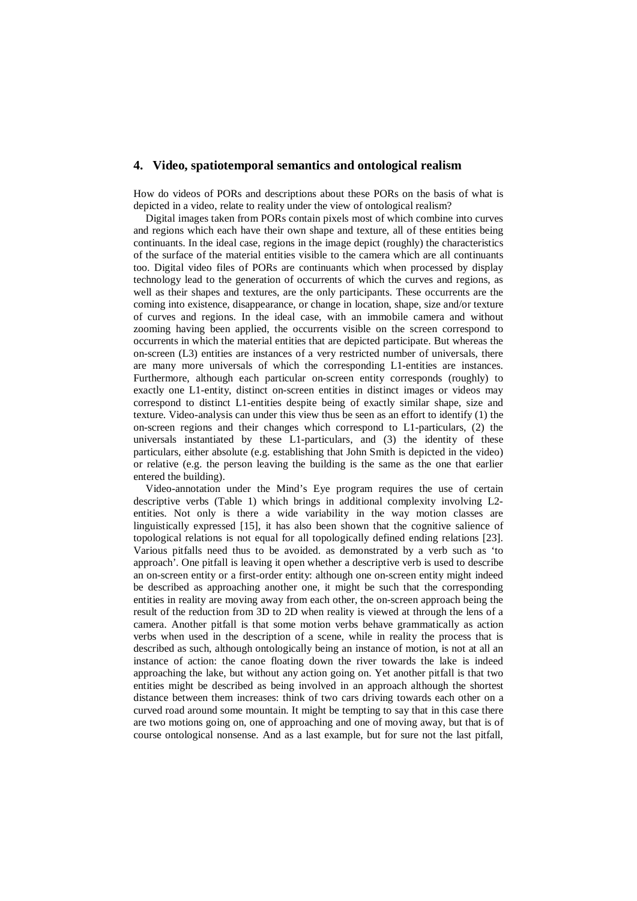#### **4. Video, spatiotemporal semantics and ontological realism**

How do videos of PORs and descriptions about these PORs on the basis of what is depicted in a video, relate to reality under the view of ontological realism?

Digital images taken from PORs contain pixels most of which combine into curves and regions which each have their own shape and texture, all of these entities being continuants. In the ideal case, regions in the image depict (roughly) the characteristics of the surface of the material entities visible to the camera which are all continuants too. Digital video files of PORs are continuants which when processed by display technology lead to the generation of occurrents of which the curves and regions, as well as their shapes and textures, are the only participants. These occurrents are the coming into existence, disappearance, or change in location, shape, size and/or texture of curves and regions. In the ideal case, with an immobile camera and without zooming having been applied, the occurrents visible on the screen correspond to occurrents in which the material entities that are depicted participate. But whereas the on-screen (L3) entities are instances of a very restricted number of universals, there are many more universals of which the corresponding L1-entities are instances. Furthermore, although each particular on-screen entity corresponds (roughly) to exactly one L1-entity, distinct on-screen entities in distinct images or videos may correspond to distinct L1-entities despite being of exactly similar shape, size and texture. Video-analysis can under this view thus be seen as an effort to identify (1) the on-screen regions and their changes which correspond to L1-particulars, (2) the universals instantiated by these L1-particulars, and (3) the identity of these particulars, either absolute (e.g. establishing that John Smith is depicted in the video) or relative (e.g. the person leaving the building is the same as the one that earlier entered the building).

Video-annotation under the Mind's Eye program requires the use of certain descriptive verbs (Table 1) which brings in additional complexity involving L2 entities. Not only is there a wide variability in the way motion classes are linguistically expressed [15], it has also been shown that the cognitive salience of topological relations is not equal for all topologically defined ending relations [23]. Various pitfalls need thus to be avoided. as demonstrated by a verb such as 'to approach'. One pitfall is leaving it open whether a descriptive verb is used to describe an on-screen entity or a first-order entity: although one on-screen entity might indeed be described as approaching another one, it might be such that the corresponding entities in reality are moving away from each other, the on-screen approach being the result of the reduction from 3D to 2D when reality is viewed at through the lens of a camera. Another pitfall is that some motion verbs behave grammatically as action verbs when used in the description of a scene, while in reality the process that is described as such, although ontologically being an instance of motion, is not at all an instance of action: the canoe floating down the river towards the lake is indeed approaching the lake, but without any action going on. Yet another pitfall is that two entities might be described as being involved in an approach although the shortest distance between them increases: think of two cars driving towards each other on a curved road around some mountain. It might be tempting to say that in this case there are two motions going on, one of approaching and one of moving away, but that is of course ontological nonsense. And as a last example, but for sure not the last pitfall,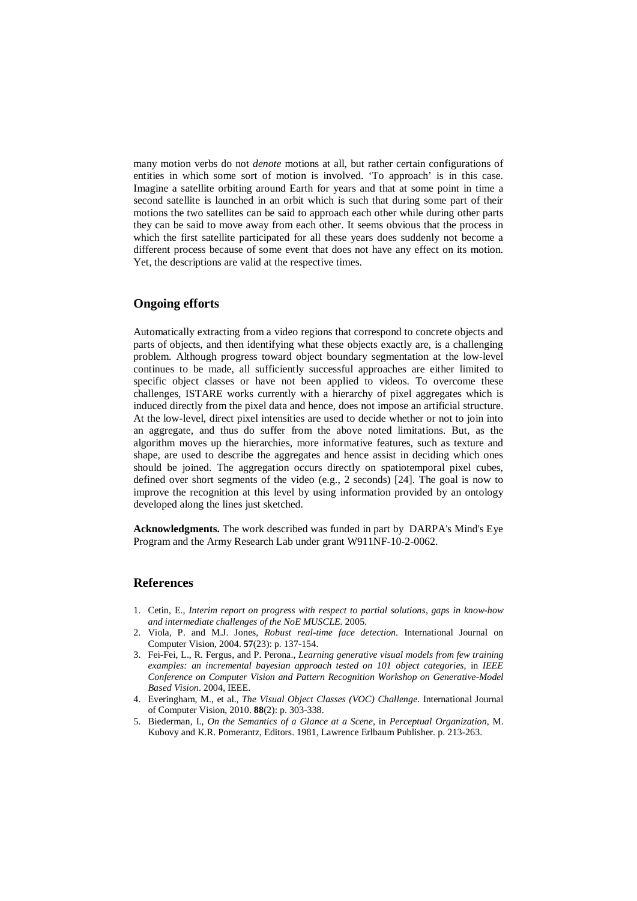many motion verbs do not *denote* motions at all, but rather certain configurations of entities in which some sort of motion is involved. 'To approach' is in this case. Imagine a satellite orbiting around Earth for years and that at some point in time a second satellite is launched in an orbit which is such that during some part of their motions the two satellites can be said to approach each other while during other parts they can be said to move away from each other. It seems obvious that the process in which the first satellite participated for all these years does suddenly not become a different process because of some event that does not have any effect on its motion. Yet, the descriptions are valid at the respective times.

## **Ongoing efforts**

Automatically extracting from a video regions that correspond to concrete objects and parts of objects, and then identifying what these objects exactly are, is a challenging problem. Although progress toward object boundary segmentation at the low-level continues to be made, all sufficiently successful approaches are either limited to specific object classes or have not been applied to videos. To overcome these challenges, ISTARE works currently with a hierarchy of pixel aggregates which is induced directly from the pixel data and hence, does not impose an artificial structure. At the low-level, direct pixel intensities are used to decide whether or not to join into an aggregate, and thus do suffer from the above noted limitations. But, as the algorithm moves up the hierarchies, more informative features, such as texture and shape, are used to describe the aggregates and hence assist in deciding which ones should be joined. The aggregation occurs directly on spatiotemporal pixel cubes, defined over short segments of the video (e.g., 2 seconds) [24]. The goal is now to improve the recognition at this level by using information provided by an ontology developed along the lines just sketched.

**Acknowledgments.** The work described was funded in part by DARPA's Mind's Eye Program and the Army Research Lab under grant W911NF-10-2-0062.

## **References**

- 1. Cetin, E., *Interim report on progress with respect to partial solutions, gaps in know-how and intermediate challenges of the NoE MUSCLE.* 2005.
- 2. Viola, P. and M.J. Jones, *Robust real-time face detection.* International Journal on Computer Vision, 2004. **57**(23): p. 137-154.
- 3. Fei-Fei, L., R. Fergus, and P. Perona., *Learning generative visual models from few training examples: an incremental bayesian approach tested on 101 object categories*, in *IEEE Conference on Computer Vision and Pattern Recognition Workshop on Generative-Model Based Vision*. 2004, IEEE.
- 4. Everingham, M., et al., *The Visual Object Classes (VOC) Challenge.* International Journal of Computer Vision, 2010. **88**(2): p. 303-338.
- 5. Biederman, I., *On the Semantics of a Glance at a Scene*, in *Perceptual Organization*, M. Kubovy and K.R. Pomerantz, Editors. 1981, Lawrence Erlbaum Publisher. p. 213-263.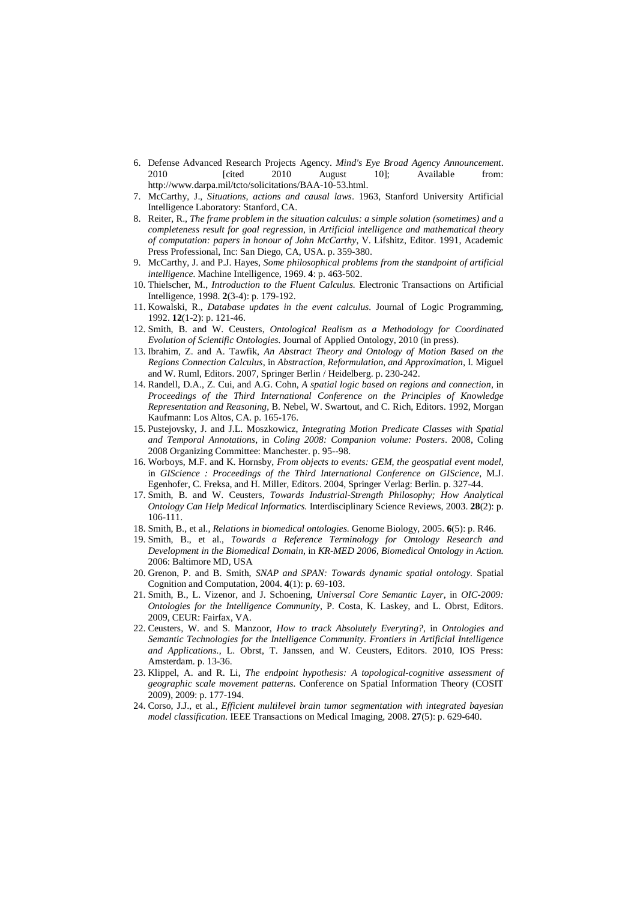- 6. Defense Advanced Research Projects Agency. *Mind's Eye Broad Agency Announcement*. 2010 [cited 2010 August 10]; Available from: http://www.darpa.mil/tcto/solicitations/BAA-10-53.html.
- 7. McCarthy, J., *Situations, actions and causal laws*. 1963, Stanford University Artificial Intelligence Laboratory: Stanford, CA.
- 8. Reiter, R., *The frame problem in the situation calculus: a simple solution (sometimes) and a completeness result for goal regression*, in *Artificial intelligence and mathematical theory of computation: papers in honour of John McCarthy*, V. Lifshitz, Editor. 1991, Academic Press Professional, Inc: San Diego, CA, USA. p. 359-380.
- 9. McCarthy, J. and P.J. Hayes, *Some philosophical problems from the standpoint of artificial intelligence.* Machine Intelligence, 1969. **4**: p. 463-502.
- 10. Thielscher, M., *Introduction to the Fluent Calculus.* Electronic Transactions on Artificial Intelligence, 1998. **2**(3-4): p. 179-192.
- 11. Kowalski, R., *Database updates in the event calculus.* Journal of Logic Programming, 1992. **12**(1-2): p. 121-46.
- 12. Smith, B. and W. Ceusters, *Ontological Realism as a Methodology for Coordinated Evolution of Scientific Ontologies.* Journal of Applied Ontology, 2010 (in press).
- 13. Ibrahim, Z. and A. Tawfik, *An Abstract Theory and Ontology of Motion Based on the Regions Connection Calculus*, in *Abstraction, Reformulation, and Approximation*, I. Miguel and W. Ruml, Editors. 2007, Springer Berlin / Heidelberg. p. 230-242.
- 14. Randell, D.A., Z. Cui, and A.G. Cohn, *A spatial logic based on regions and connection*, in *Proceedings of the Third International Conference on the Principles of Knowledge Representation and Reasoning*, B. Nebel, W. Swartout, and C. Rich, Editors. 1992, Morgan Kaufmann: Los Altos, CA. p. 165-176.
- 15. Pustejovsky, J. and J.L. Moszkowicz, *Integrating Motion Predicate Classes with Spatial and Temporal Annotations*, in *Coling 2008: Companion volume: Posters*. 2008, Coling 2008 Organizing Committee: Manchester. p. 95--98.
- 16. Worboys, M.F. and K. Hornsby, *From objects to events: GEM, the geospatial event model*, in *GIScience : Proceedings of the Third International Conference on GIScience*, M.J. Egenhofer, C. Freksa, and H. Miller, Editors. 2004, Springer Verlag: Berlin. p. 327-44.
- 17. Smith, B. and W. Ceusters, *Towards Industrial-Strength Philosophy; How Analytical Ontology Can Help Medical Informatics.* Interdisciplinary Science Reviews, 2003. **28**(2): p. 106-111.
- 18. Smith, B., et al., *Relations in biomedical ontologies.* Genome Biology, 2005. **6**(5): p. R46.
- 19. Smith, B., et al., *Towards a Reference Terminology for Ontology Research and Development in the Biomedical Domain*, in *KR-MED 2006, Biomedical Ontology in Action.* 2006: Baltimore MD, USA
- 20. Grenon, P. and B. Smith, *SNAP and SPAN: Towards dynamic spatial ontology.* Spatial Cognition and Computation, 2004. **4**(1): p. 69-103.
- 21. Smith, B., L. Vizenor, and J. Schoening, *Universal Core Semantic Layer*, in *OIC-2009: Ontologies for the Intelligence Community*, P. Costa, K. Laskey, and L. Obrst, Editors. 2009, CEUR: Fairfax, VA.
- 22. Ceusters, W. and S. Manzoor, *How to track Absolutely Everyting?*, in *Ontologies and Semantic Technologies for the Intelligence Community. Frontiers in Artificial Intelligence and Applications.*, L. Obrst, T. Janssen, and W. Ceusters, Editors. 2010, IOS Press: Amsterdam. p. 13-36.
- 23. Klippel, A. and R. Li, *The endpoint hypothesis: A topological-cognitive assessment of geographic scale movement patterns.* Conference on Spatial Information Theory (COSIT 2009), 2009: p. 177-194.
- 24. Corso, J.J., et al., *Efficient multilevel brain tumor segmentation with integrated bayesian model classification.* IEEE Transactions on Medical Imaging, 2008. **27**(5): p. 629-640.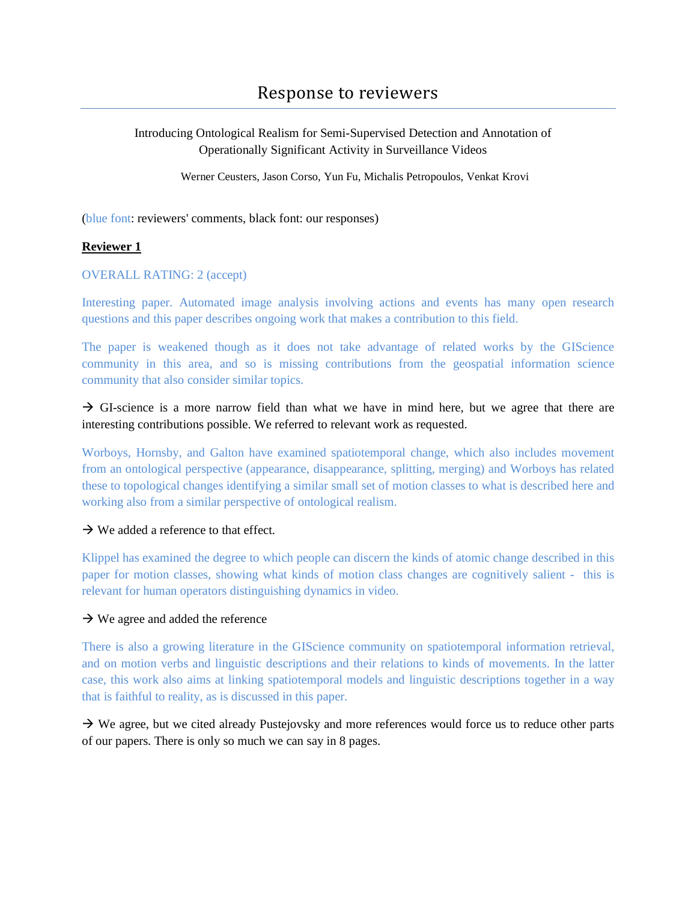Introducing Ontological Realism for Semi-Supervised Detection and Annotation of Operationally Significant Activity in Surveillance Videos

Werner Ceusters, Jason Corso, Yun Fu, Michalis Petropoulos, Venkat Krovi

(blue font: reviewers' comments, black font: our responses)

## **Reviewer 1**

## OVERALL RATING: 2 (accept)

Interesting paper. Automated image analysis involving actions and events has many open research questions and this paper describes ongoing work that makes a contribution to this field.

The paper is weakened though as it does not take advantage of related works by the GIScience community in this area, and so is missing contributions from the geospatial information science community that also consider similar topics.

 $\rightarrow$  GI-science is a more narrow field than what we have in mind here, but we agree that there are interesting contributions possible. We referred to relevant work as requested.

Worboys, Hornsby, and Galton have examined spatiotemporal change, which also includes movement from an ontological perspective (appearance, disappearance, splitting, merging) and Worboys has related these to topological changes identifying a similar small set of motion classes to what is described here and working also from a similar perspective of ontological realism.

### $\rightarrow$  We added a reference to that effect.

Klippel has examined the degree to which people can discern the kinds of atomic change described in this paper for motion classes, showing what kinds of motion class changes are cognitively salient - this is relevant for human operators distinguishing dynamics in video.

## $\rightarrow$  We agree and added the reference

There is also a growing literature in the GIScience community on spatiotemporal information retrieval, and on motion verbs and linguistic descriptions and their relations to kinds of movements. In the latter case, this work also aims at linking spatiotemporal models and linguistic descriptions together in a way that is faithful to reality, as is discussed in this paper.

 $\rightarrow$  We agree, but we cited already Pustejovsky and more references would force us to reduce other parts of our papers. There is only so much we can say in 8 pages.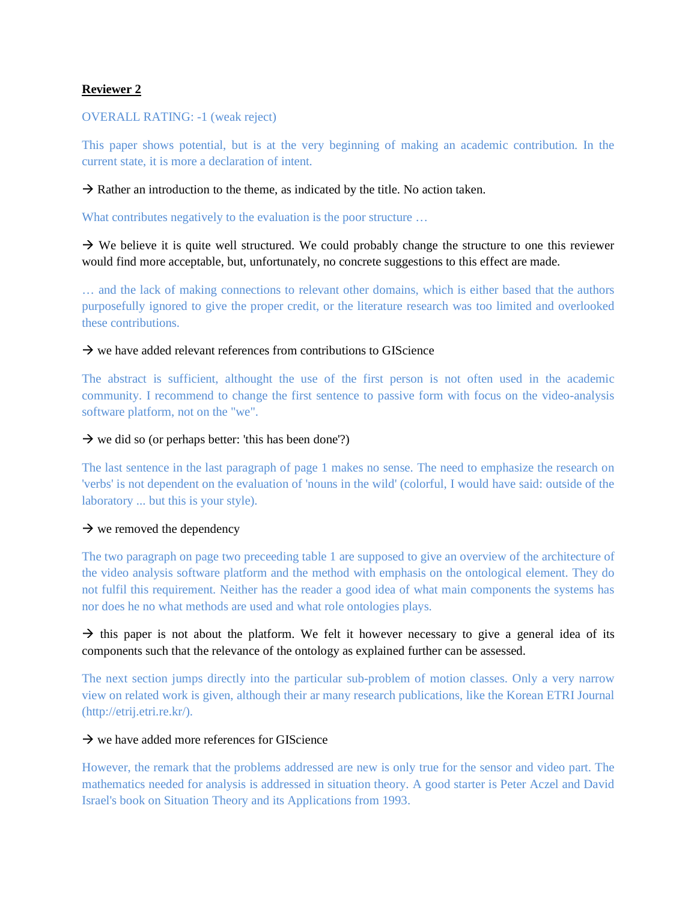## **Reviewer 2**

### OVERALL RATING: -1 (weak reject)

This paper shows potential, but is at the very beginning of making an academic contribution. In the current state, it is more a declaration of intent.

 $\rightarrow$  Rather an introduction to the theme, as indicated by the title. No action taken.

What contributes negatively to the evaluation is the poor structure ...

 $\rightarrow$  We believe it is quite well structured. We could probably change the structure to one this reviewer would find more acceptable, but, unfortunately, no concrete suggestions to this effect are made.

… and the lack of making connections to relevant other domains, which is either based that the authors purposefully ignored to give the proper credit, or the literature research was too limited and overlooked these contributions.

## $\rightarrow$  we have added relevant references from contributions to GIScience

The abstract is sufficient, althought the use of the first person is not often used in the academic community. I recommend to change the first sentence to passive form with focus on the video-analysis software platform, not on the "we".

## $\rightarrow$  we did so (or perhaps better: 'this has been done'?)

The last sentence in the last paragraph of page 1 makes no sense. The need to emphasize the research on 'verbs' is not dependent on the evaluation of 'nouns in the wild' (colorful, I would have said: outside of the laboratory ... but this is your style).

## $\rightarrow$  we removed the dependency

The two paragraph on page two preceeding table 1 are supposed to give an overview of the architecture of the video analysis software platform and the method with emphasis on the ontological element. They do not fulfil this requirement. Neither has the reader a good idea of what main components the systems has nor does he no what methods are used and what role ontologies plays.

# $\rightarrow$  this paper is not about the platform. We felt it however necessary to give a general idea of its components such that the relevance of the ontology as explained further can be assessed.

The next section jumps directly into the particular sub-problem of motion classes. Only a very narrow view on related work is given, although their ar many research publications, like the Korean ETRI Journal (http://etrij.etri.re.kr/).

### $\rightarrow$  we have added more references for GIScience

However, the remark that the problems addressed are new is only true for the sensor and video part. The mathematics needed for analysis is addressed in situation theory. A good starter is Peter Aczel and David Israel's book on Situation Theory and its Applications from 1993.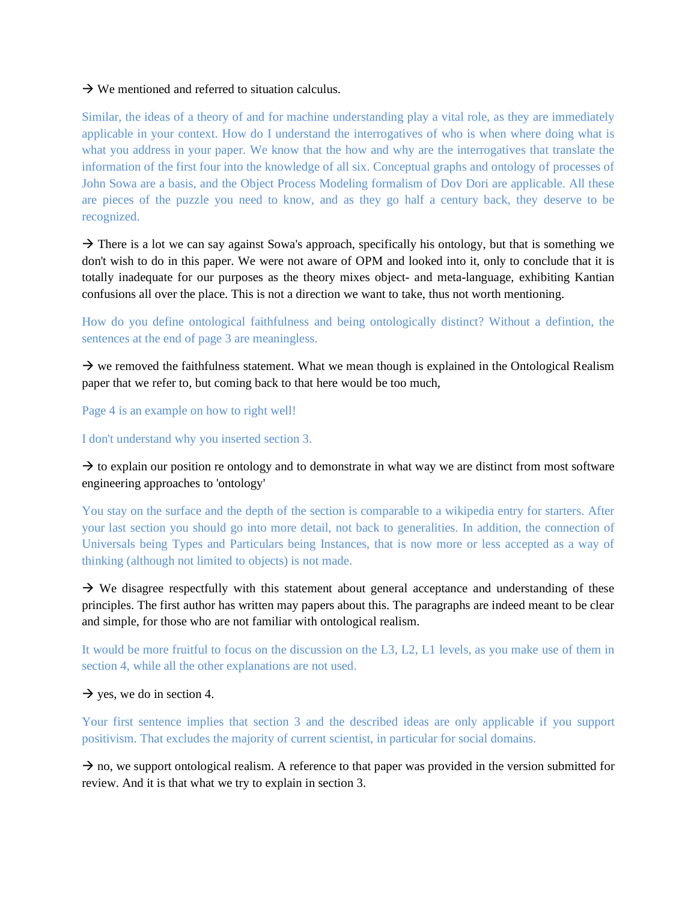### $\rightarrow$  We mentioned and referred to situation calculus.

Similar, the ideas of a theory of and for machine understanding play a vital role, as they are immediately applicable in your context. How do I understand the interrogatives of who is when where doing what is what you address in your paper. We know that the how and why are the interrogatives that translate the information of the first four into the knowledge of all six. Conceptual graphs and ontology of processes of John Sowa are a basis, and the Object Process Modeling formalism of Dov Dori are applicable. All these are pieces of the puzzle you need to know, and as they go half a century back, they deserve to be recognized.

 $\rightarrow$  There is a lot we can say against Sowa's approach, specifically his ontology, but that is something we don't wish to do in this paper. We were not aware of OPM and looked into it, only to conclude that it is totally inadequate for our purposes as the theory mixes object- and meta-language, exhibiting Kantian confusions all over the place. This is not a direction we want to take, thus not worth mentioning.

How do you define ontological faithfulness and being ontologically distinct? Without a defintion, the sentences at the end of page 3 are meaningless.

 $\rightarrow$  we removed the faithfulness statement. What we mean though is explained in the Ontological Realism paper that we refer to, but coming back to that here would be too much,

Page 4 is an example on how to right well!

I don't understand why you inserted section 3.

 $\rightarrow$  to explain our position re ontology and to demonstrate in what way we are distinct from most software engineering approaches to 'ontology'

You stay on the surface and the depth of the section is comparable to a wikipedia entry for starters. After your last section you should go into more detail, not back to generalities. In addition, the connection of Universals being Types and Particulars being Instances, that is now more or less accepted as a way of thinking (although not limited to objects) is not made.

 $\rightarrow$  We disagree respectfully with this statement about general acceptance and understanding of these principles. The first author has written may papers about this. The paragraphs are indeed meant to be clear and simple, for those who are not familiar with ontological realism.

It would be more fruitful to focus on the discussion on the L3, L2, L1 levels, as you make use of them in section 4, while all the other explanations are not used.

 $\rightarrow$  yes, we do in section 4.

Your first sentence implies that section 3 and the described ideas are only applicable if you support positivism. That excludes the majority of current scientist, in particular for social domains.

 $\rightarrow$  no, we support ontological realism. A reference to that paper was provided in the version submitted for review. And it is that what we try to explain in section 3.